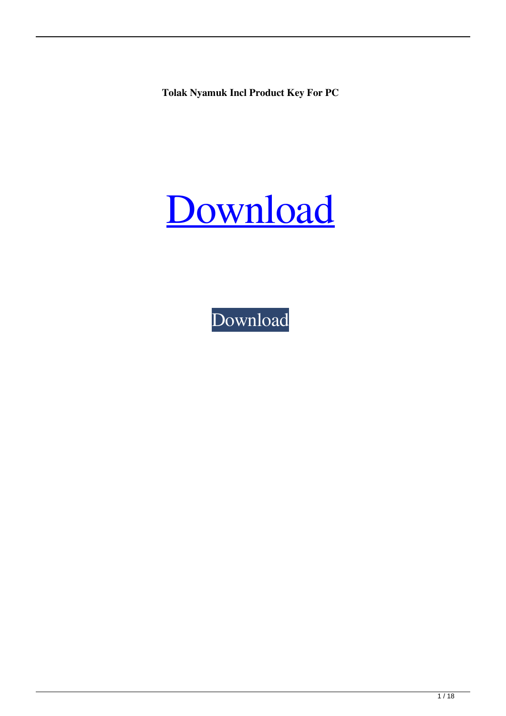**Tolak Nyamuk Incl Product Key For PC**

## [Download](http://evacdir.com/ZG93bmxvYWR8NTJTTWpWME9YeDhNVFkxTkRVeU1qRXhNSHg4TWpVM05IeDhLRTBwSUhKbFlXUXRZbXh2WnlCYlJtRnpkQ0JIUlU1ZA/enamored.commercializing?VG9sYWsgTnlhbXVrVG9=observes=relieved=gault)

[Download](http://evacdir.com/ZG93bmxvYWR8NTJTTWpWME9YeDhNVFkxTkRVeU1qRXhNSHg4TWpVM05IeDhLRTBwSUhKbFlXUXRZbXh2WnlCYlJtRnpkQ0JIUlU1ZA/enamored.commercializing?VG9sYWsgTnlhbXVrVG9=observes=relieved=gault)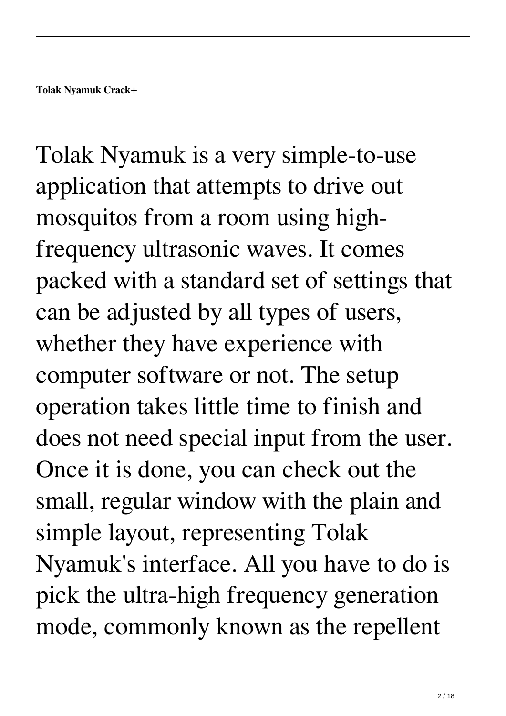Tolak Nyamuk is a very simple-to-use application that attempts to drive out mosquitos from a room using highfrequency ultrasonic waves. It comes packed with a standard set of settings that can be adjusted by all types of users, whether they have experience with computer software or not. The setup operation takes little time to finish and does not need special input from the user. Once it is done, you can check out the small, regular window with the plain and simple layout, representing Tolak Nyamuk's interface. All you have to do is pick the ultra-high frequency generation mode, commonly known as the repellent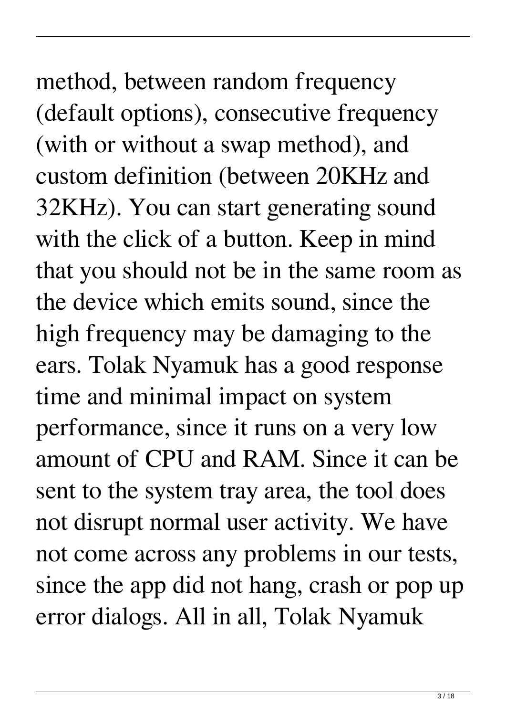# method, between random frequency (default options), consecutive frequency (with or without a swap method), and

custom definition (between 20KHz and 32KHz). You can start generating sound with the click of a button. Keep in mind that you should not be in the same room as the device which emits sound, since the high frequency may be damaging to the ears. Tolak Nyamuk has a good response time and minimal impact on system performance, since it runs on a very low amount of CPU and RAM. Since it can be sent to the system tray area, the tool does not disrupt normal user activity. We have not come across any problems in our tests, since the app did not hang, crash or pop up error dialogs. All in all, Tolak Nyamuk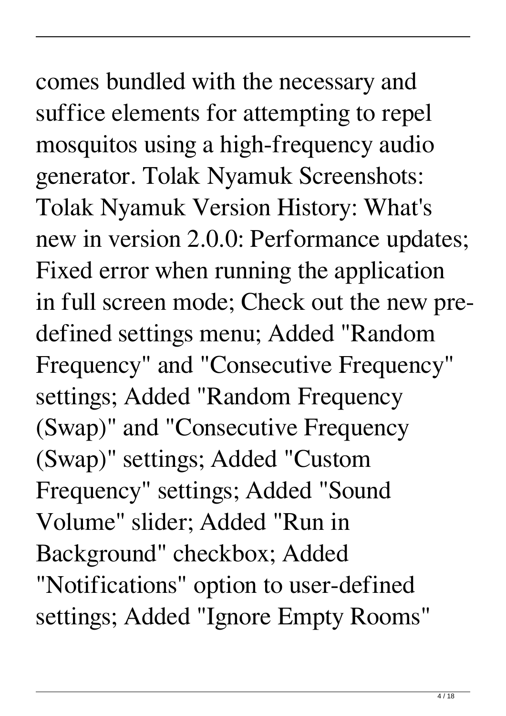## comes bundled with the necessary and suffice elements for attempting to repel mosquitos using a high-frequency audio

generator. Tolak Nyamuk Screenshots: Tolak Nyamuk Version History: What's new in version 2.0.0: Performance updates; Fixed error when running the application in full screen mode; Check out the new predefined settings menu; Added "Random Frequency" and "Consecutive Frequency" settings; Added "Random Frequency (Swap)" and "Consecutive Frequency (Swap)" settings; Added "Custom Frequency" settings; Added "Sound Volume" slider; Added "Run in Background" checkbox; Added "Notifications" option to user-defined settings; Added "Ignore Empty Rooms"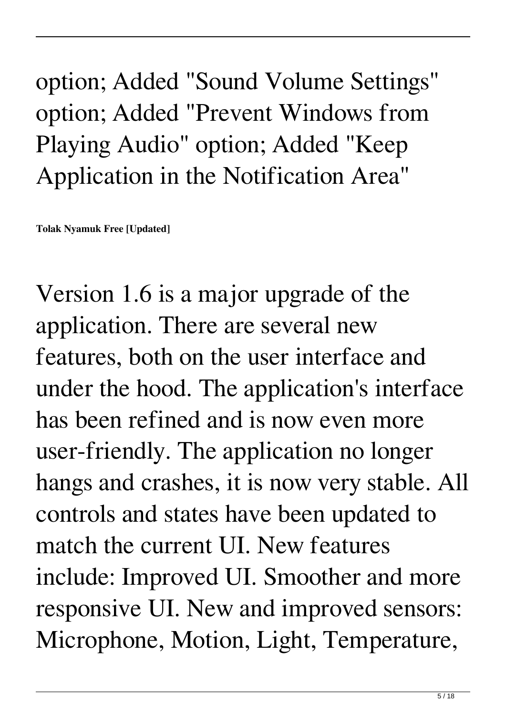#### option; Added "Sound Volume Settings" option; Added "Prevent Windows from Playing Audio" option; Added "Keep Application in the Notification Area"

**Tolak Nyamuk Free [Updated]**

Version 1.6 is a major upgrade of the application. There are several new features, both on the user interface and under the hood. The application's interface has been refined and is now even more user-friendly. The application no longer hangs and crashes, it is now very stable. All controls and states have been updated to match the current UI. New features include: Improved UI. Smoother and more responsive UI. New and improved sensors: Microphone, Motion, Light, Temperature,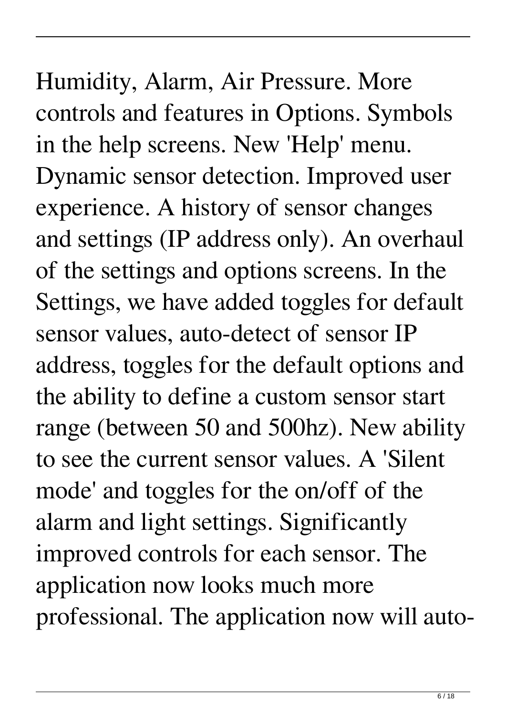### Humidity, Alarm, Air Pressure. More controls and features in Options. Symbols in the help screens. New 'Help' menu. Dynamic sensor detection. Improved user experience. A history of sensor changes and settings (IP address only). An overhaul of the settings and options screens. In the Settings, we have added toggles for default sensor values, auto-detect of sensor IP address, toggles for the default options and the ability to define a custom sensor start range (between 50 and 500hz). New ability to see the current sensor values. A 'Silent mode' and toggles for the on/off of the alarm and light settings. Significantly improved controls for each sensor. The application now looks much more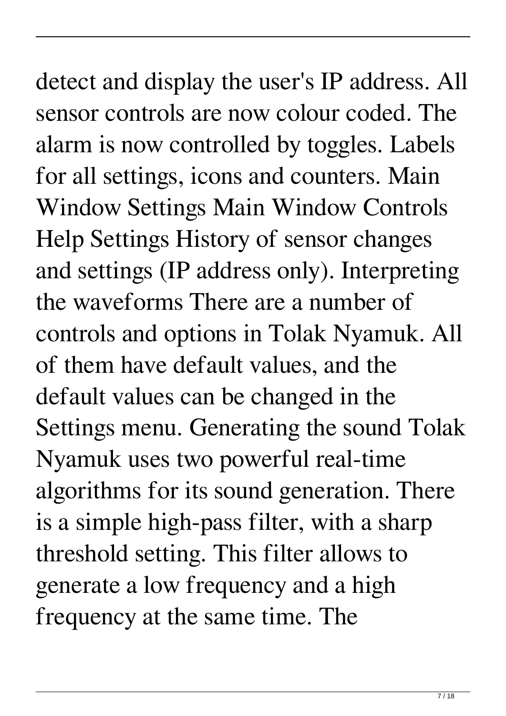detect and display the user's IP address. All sensor controls are now colour coded. The alarm is now controlled by toggles. Labels for all settings, icons and counters. Main Window Settings Main Window Controls Help Settings History of sensor changes and settings (IP address only). Interpreting the waveforms There are a number of controls and options in Tolak Nyamuk. All of them have default values, and the default values can be changed in the Settings menu. Generating the sound Tolak Nyamuk uses two powerful real-time algorithms for its sound generation. There is a simple high-pass filter, with a sharp threshold setting. This filter allows to generate a low frequency and a high frequency at the same time. The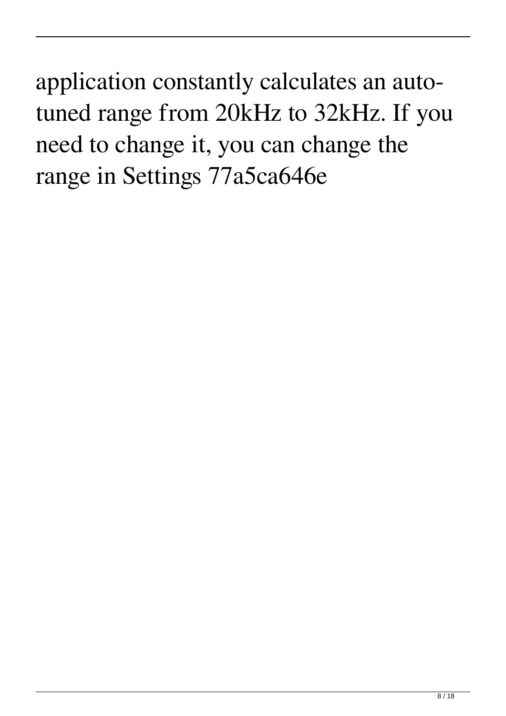application constantly calculates an autotuned range from 20kHz to 32kHz. If you need to change it, you can change the range in Settings 77a5ca646e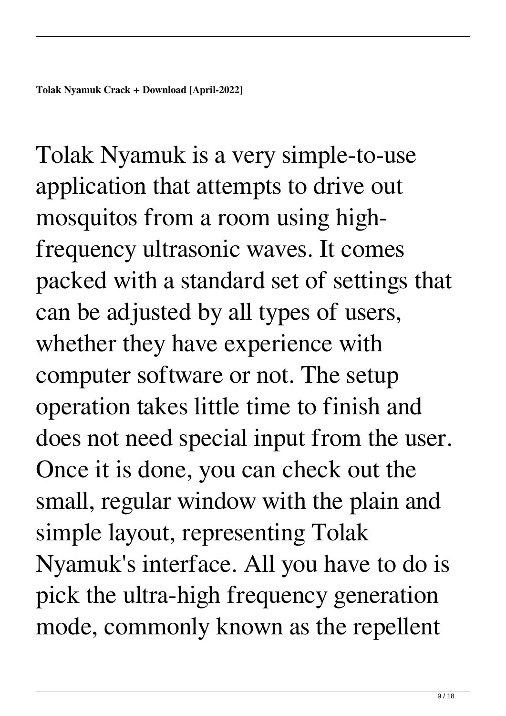Tolak Nyamuk is a very simple-to-use application that attempts to drive out mosquitos from a room using highfrequency ultrasonic waves. It comes packed with a standard set of settings that can be adjusted by all types of users, whether they have experience with computer software or not. The setup operation takes little time to finish and does not need special input from the user. Once it is done, you can check out the small, regular window with the plain and simple layout, representing Tolak Nyamuk's interface. All you have to do is pick the ultra-high frequency generation mode, commonly known as the repellent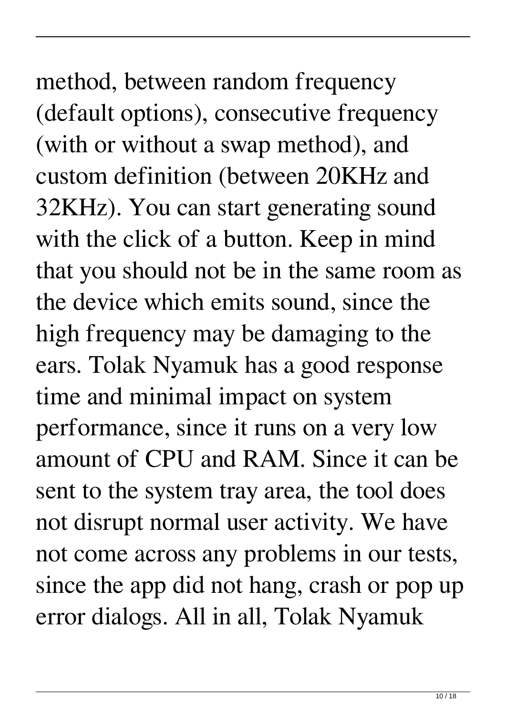## method, between random frequency (default options), consecutive frequency (with or without a swap method), and

custom definition (between 20KHz and 32KHz). You can start generating sound with the click of a button. Keep in mind that you should not be in the same room as the device which emits sound, since the high frequency may be damaging to the ears. Tolak Nyamuk has a good response time and minimal impact on system performance, since it runs on a very low amount of CPU and RAM. Since it can be sent to the system tray area, the tool does not disrupt normal user activity. We have not come across any problems in our tests, since the app did not hang, crash or pop up error dialogs. All in all, Tolak Nyamuk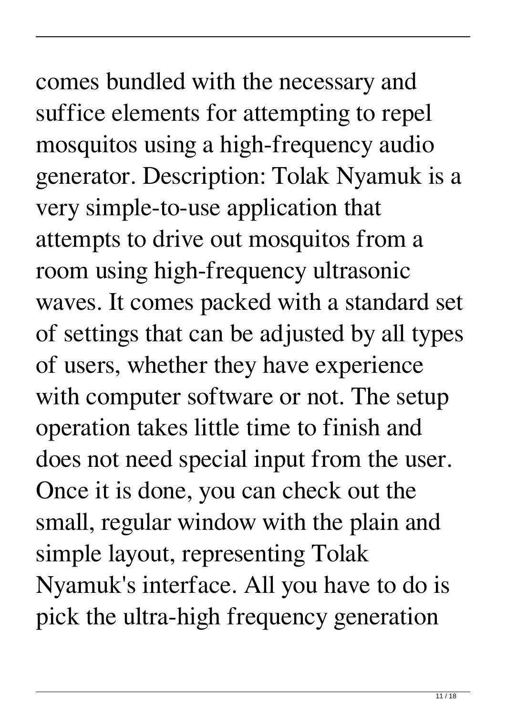# comes bundled with the necessary and

suffice elements for attempting to repel mosquitos using a high-frequency audio generator. Description: Tolak Nyamuk is a very simple-to-use application that attempts to drive out mosquitos from a room using high-frequency ultrasonic waves. It comes packed with a standard set of settings that can be adjusted by all types of users, whether they have experience with computer software or not. The setup operation takes little time to finish and does not need special input from the user. Once it is done, you can check out the small, regular window with the plain and simple layout, representing Tolak Nyamuk's interface. All you have to do is pick the ultra-high frequency generation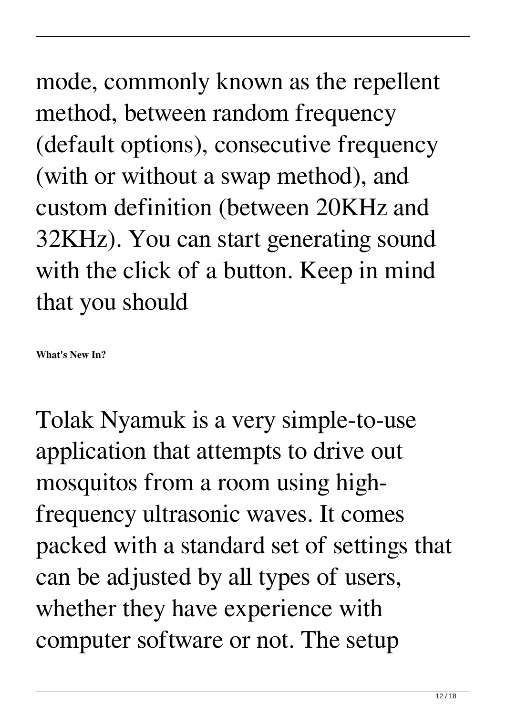mode, commonly known as the repellent method, between random frequency (default options), consecutive frequency (with or without a swap method), and custom definition (between 20KHz and 32KHz). You can start generating sound with the click of a button. Keep in mind that you should

**What's New In?**

Tolak Nyamuk is a very simple-to-use application that attempts to drive out mosquitos from a room using highfrequency ultrasonic waves. It comes packed with a standard set of settings that can be adjusted by all types of users, whether they have experience with computer software or not. The setup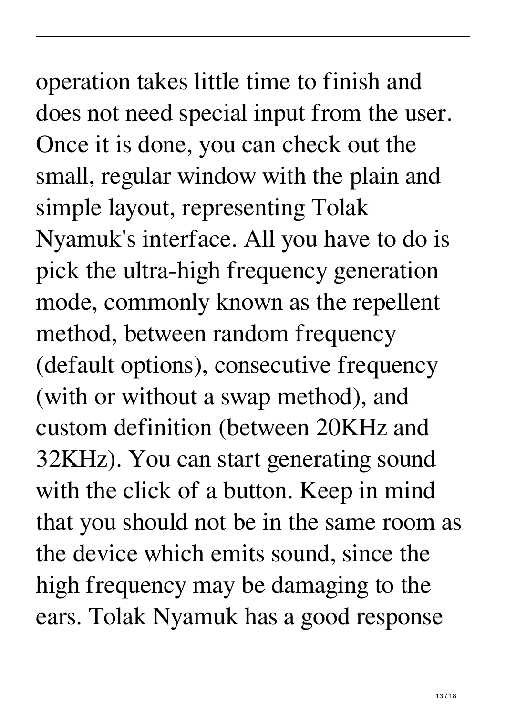## operation takes little time to finish and does not need special input from the user. Once it is done, you can check out the

small, regular window with the plain and simple layout, representing Tolak Nyamuk's interface. All you have to do is pick the ultra-high frequency generation mode, commonly known as the repellent method, between random frequency (default options), consecutive frequency (with or without a swap method), and custom definition (between 20KHz and 32KHz). You can start generating sound with the click of a button. Keep in mind that you should not be in the same room as the device which emits sound, since the high frequency may be damaging to the ears. Tolak Nyamuk has a good response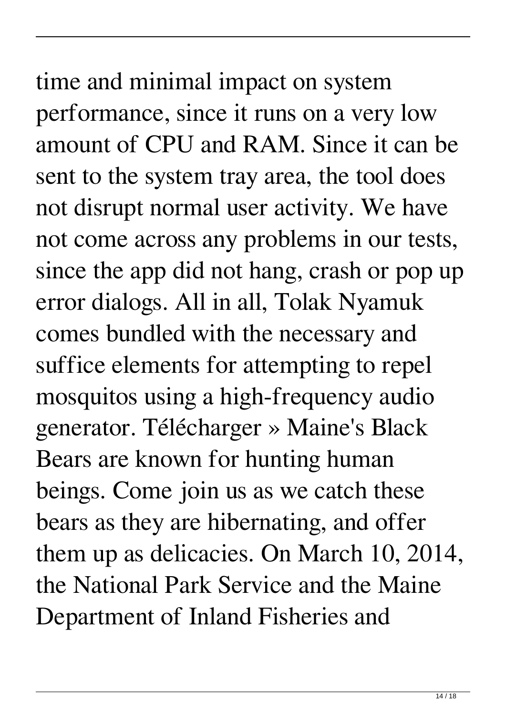#### time and minimal impact on system performance, since it runs on a very low amount of CPU and RAM. Since it can be sent to the system tray area, the tool does not disrupt normal user activity. We have not come across any problems in our tests, since the app did not hang, crash or pop up error dialogs. All in all, Tolak Nyamuk comes bundled with the necessary and suffice elements for attempting to repel mosquitos using a high-frequency audio generator. Télécharger » Maine's Black Bears are known for hunting human beings. Come join us as we catch these bears as they are hibernating, and offer them up as delicacies. On March 10, 2014, the National Park Service and the Maine

Department of Inland Fisheries and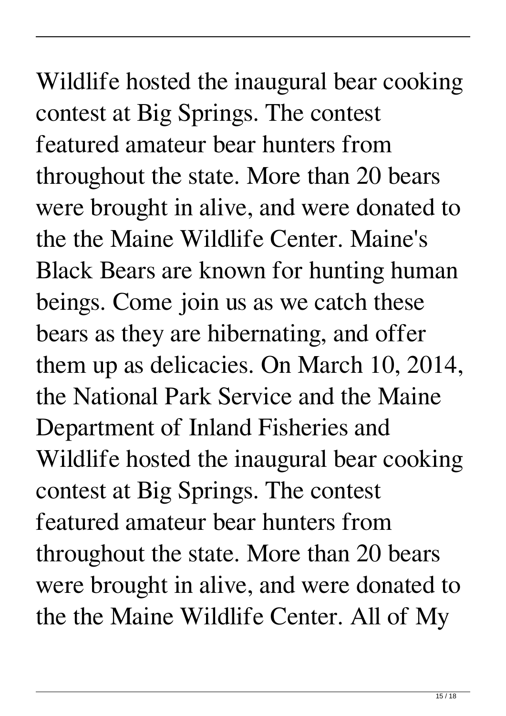Wildlife hosted the inaugural bear cooking contest at Big Springs. The contest featured amateur bear hunters from throughout the state. More than 20 bears were brought in alive, and were donated to the the Maine Wildlife Center. Maine's Black Bears are known for hunting human beings. Come join us as we catch these bears as they are hibernating, and offer them up as delicacies. On March 10, 2014, the National Park Service and the Maine Department of Inland Fisheries and Wildlife hosted the inaugural bear cooking contest at Big Springs. The contest featured amateur bear hunters from throughout the state. More than 20 bears were brought in alive, and were donated to the the Maine Wildlife Center. All of My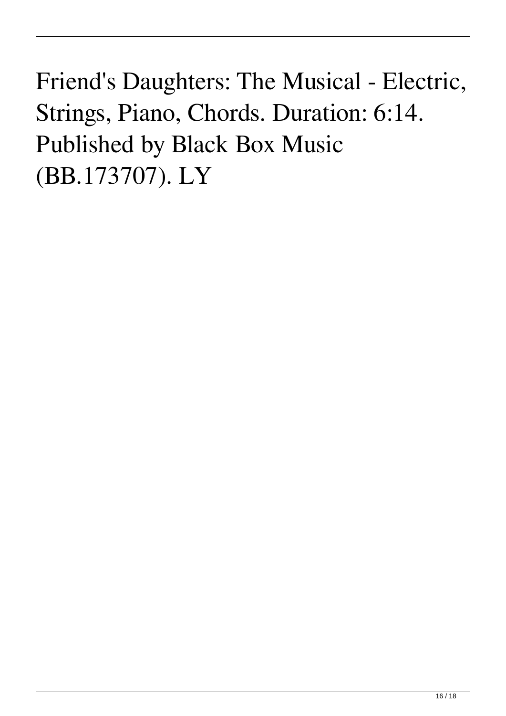Friend's Daughters: The Musical - Electric, Strings, Piano, Chords. Duration: 6:14. Published by Black Box Music (BB.173707). LY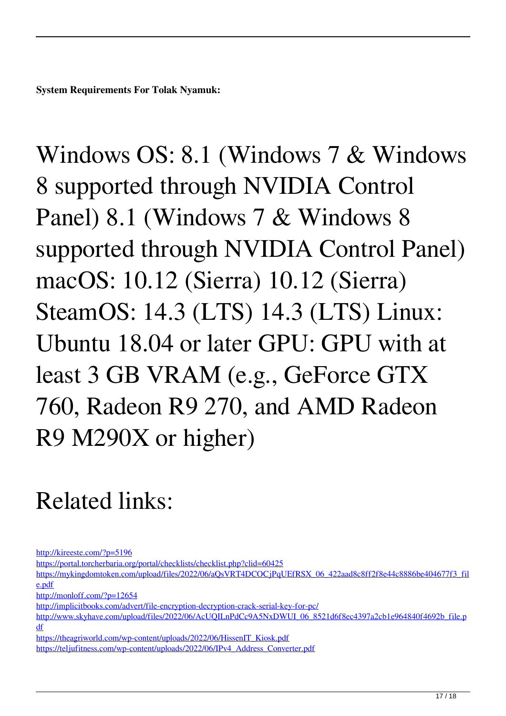**System Requirements For Tolak Nyamuk:**

Windows OS: 8.1 (Windows 7 & Windows 8 supported through NVIDIA Control Panel) 8.1 (Windows 7 & Windows 8 supported through NVIDIA Control Panel) macOS: 10.12 (Sierra) 10.12 (Sierra) SteamOS: 14.3 (LTS) 14.3 (LTS) Linux: Ubuntu 18.04 or later GPU: GPU with at least 3 GB VRAM (e.g., GeForce GTX 760, Radeon R9 270, and AMD Radeon R9 M290X or higher)

#### Related links:

<http://kireeste.com/?p=5196>

<https://portal.torcherbaria.org/portal/checklists/checklist.php?clid=60425>

https://mykingdomtoken.com/upload/files/2022/06/aOsVRT4DCOCjPqUEfRSX\_06\_422aad8c8ff2f8e44c8886be404677f3\_fil [e.pdf](https://mykingdomtoken.com/upload/files/2022/06/aQsVRT4DCOCjPqUEfRSX_06_422aad8c8ff2f8e44c8886be404677f3_file.pdf)

<http://monloff.com/?p=12654>

<http://implicitbooks.com/advert/file-encryption-decryption-crack-serial-key-for-pc/>

[http://www.skyhave.com/upload/files/2022/06/AcUQILnPdCc9A5NxDWUI\\_06\\_8521d6f8ec4397a2cb1e964840f4692b\\_file.p](http://www.skyhave.com/upload/files/2022/06/AcUQILnPdCc9A5NxDWUI_06_8521d6f8ec4397a2cb1e964840f4692b_file.pdf) [df](http://www.skyhave.com/upload/files/2022/06/AcUQILnPdCc9A5NxDWUI_06_8521d6f8ec4397a2cb1e964840f4692b_file.pdf)

[https://theagriworld.com/wp-content/uploads/2022/06/HissenIT\\_Kiosk.pdf](https://theagriworld.com/wp-content/uploads/2022/06/HissenIT_Kiosk.pdf)

[https://teljufitness.com/wp-content/uploads/2022/06/IPv4\\_Address\\_Converter.pdf](https://teljufitness.com/wp-content/uploads/2022/06/IPv4_Address_Converter.pdf)